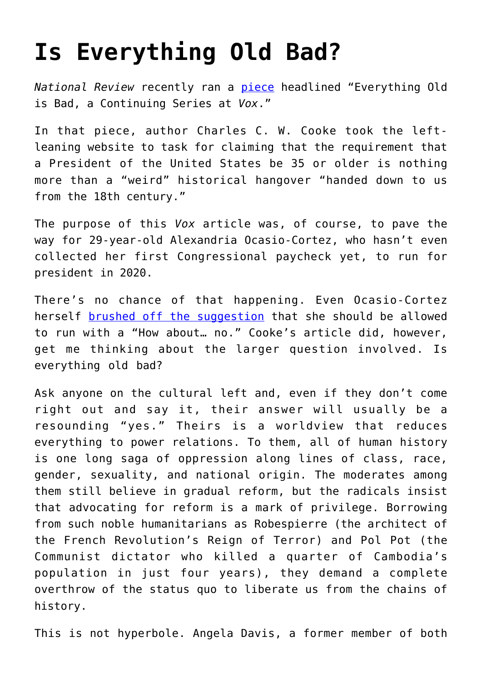## **[Is Everything Old Bad?](https://intellectualtakeout.org/2018/12/is-everything-old-bad/)**

*National Review* recently ran a [piece](https://www.nationalreview.com/corner/vox-alexandria-ocasio-cortez-constitutional-age-floors/) headlined "Everything Old is Bad, a Continuing Series at *Vox*."

In that piece, author Charles C. W. Cooke took the leftleaning website to task for claiming that the requirement that a President of the United States be 35 or older is nothing more than a "weird" historical hangover "handed down to us from the 18th century."

The purpose of this *Vox* article was, of course, to pave the way for 29-year-old Alexandria Ocasio-Cortez, who hasn't even collected her first Congressional paycheck yet, to run for president in 2020.

There's no chance of that happening. Even Ocasio-Cortez herself [brushed off the suggestion](https://thehill.com/homenews/house/421152-ocasio-cortez-on-call-to-run-for-president-how-about-no) that she should be allowed to run with a "How about… no." Cooke's article did, however, get me thinking about the larger question involved. Is everything old bad?

Ask anyone on the cultural left and, even if they don't come right out and say it, their answer will usually be a resounding "yes." Theirs is a worldview that reduces everything to power relations. To them, all of human history is one long saga of oppression along lines of class, race, gender, sexuality, and national origin. The moderates among them still believe in gradual reform, but the radicals insist that advocating for reform is a mark of privilege. Borrowing from such noble humanitarians as Robespierre (the architect of the French Revolution's Reign of Terror) and Pol Pot (the Communist dictator who killed a quarter of Cambodia's population in just four years), they demand a complete overthrow of the status quo to liberate us from the chains of history.

This is not hyperbole. Angela Davis, a former member of both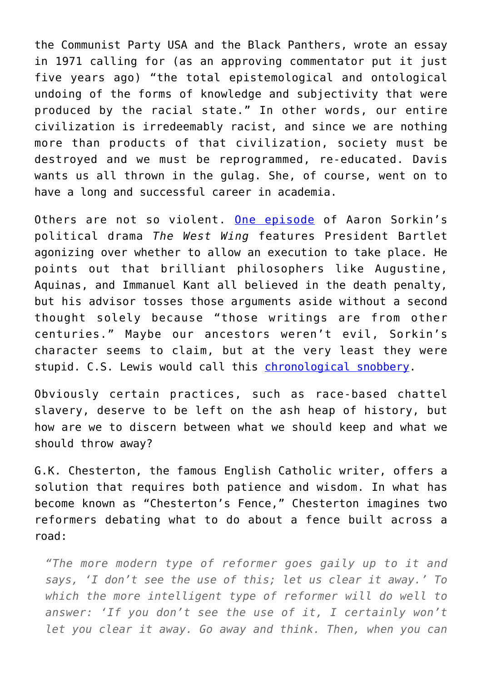the Communist Party USA and the Black Panthers, wrote an essay in 1971 calling for (as an approving commentator put it just five years ago) "the total epistemological and ontological undoing of the forms of knowledge and subjectivity that were produced by the racial state." In other words, our entire civilization is irredeemably racist, and since we are nothing more than products of that civilization, society must be destroyed and we must be reprogrammed, re-educated. Davis wants us all thrown in the gulag. She, of course, went on to have a long and successful career in academia.

Others are not so violent. [One episode](http://www.westwingtranscripts.com/search.php?flag=getTranscript&id=14&keyword=sabbath) of Aaron Sorkin's political drama *The West Wing* features President Bartlet agonizing over whether to allow an execution to take place. He points out that brilliant philosophers like Augustine, Aquinas, and Immanuel Kant all believed in the death penalty, but his advisor tosses those arguments aside without a second thought solely because "those writings are from other centuries." Maybe our ancestors weren't evil, Sorkin's character seems to claim, but at the very least they were stupid. C.S. Lewis would call this [chronological snobbery.](https://en.wikipedia.org/wiki/Chronological_snobbery)

Obviously certain practices, such as race-based chattel slavery, deserve to be left on the ash heap of history, but how are we to discern between what we should keep and what we should throw away?

G.K. Chesterton, the famous English Catholic writer, offers a solution that requires both patience and wisdom. In what has become known as "Chesterton's Fence," Chesterton imagines two reformers debating what to do about a fence built across a road:

*"The more modern type of reformer goes gaily up to it and says, 'I don't see the use of this; let us clear it away.' To which the more intelligent type of reformer will do well to answer: 'If you don't see the use of it, I certainly won't let you clear it away. Go away and think. Then, when you can*